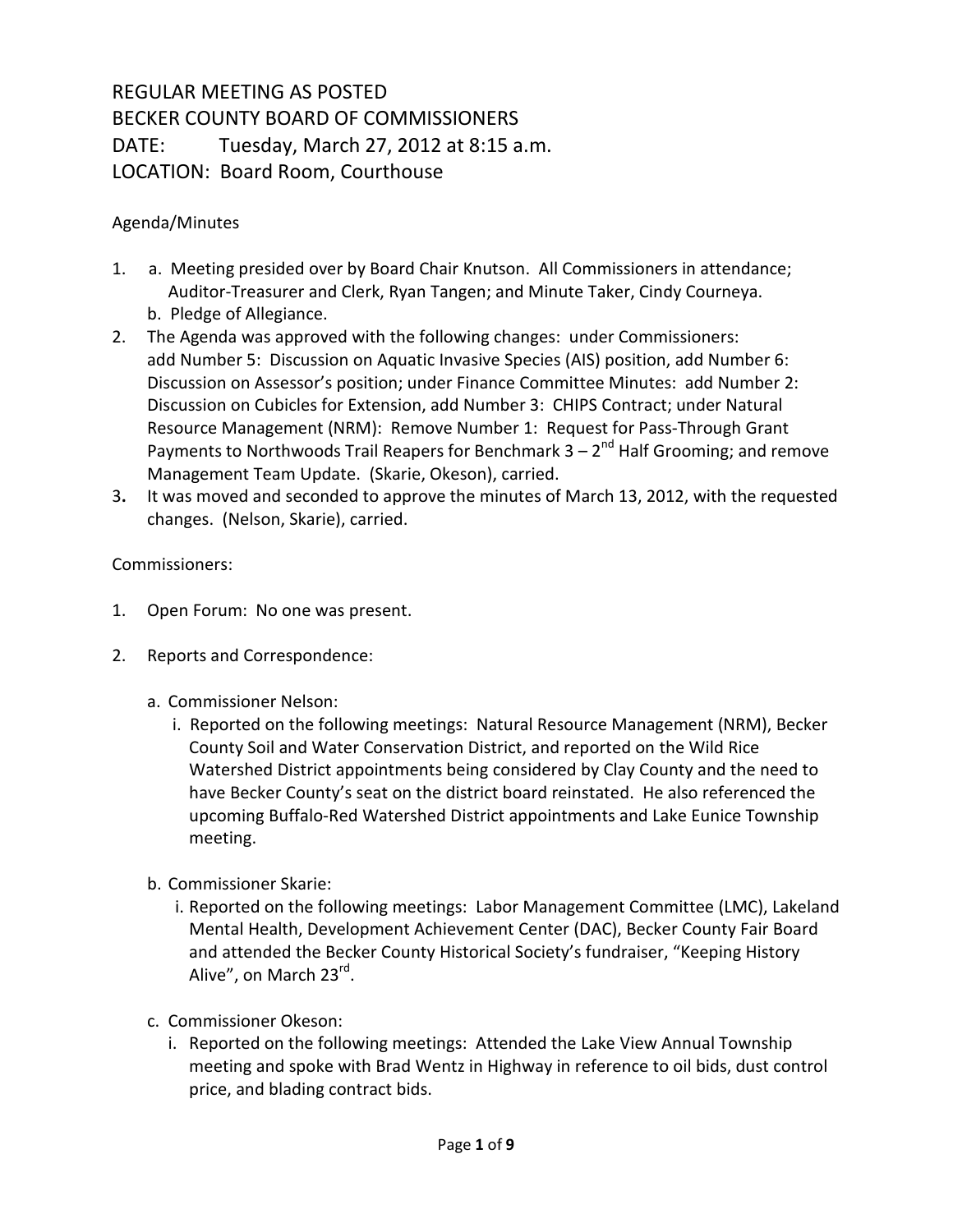## REGULAR MEETING AS POSTED BECKER COUNTY BOARD OF COMMISSIONERS DATE: Tuesday, March 27, 2012 at 8:15 a.m. LOCATION: Board Room, Courthouse

## Agenda/Minutes

- 1. a. Meeting presided over by Board Chair Knutson. All Commissioners in attendance; Auditor-Treasurer and Clerk, Ryan Tangen; and Minute Taker, Cindy Courneya. b. Pledge of Allegiance.
- 2. The Agenda was approved with the following changes: under Commissioners: add Number 5: Discussion on Aquatic Invasive Species (AIS) position, add Number 6: Discussion on Assessor's position; under Finance Committee Minutes: add Number 2: Discussion on Cubicles for Extension, add Number 3: CHIPS Contract; under Natural Resource Management (NRM): Remove Number 1: Request for Pass-Through Grant Payments to Northwoods Trail Reapers for Benchmark  $3 - 2^{nd}$  Half Grooming; and remove Management Team Update. (Skarie, Okeson), carried.
- 3**.** It was moved and seconded to approve the minutes of March 13, 2012, with the requested changes. (Nelson, Skarie), carried.

## Commissioners:

- 1. Open Forum: No one was present.
- 2. Reports and Correspondence:
	- a. Commissioner Nelson:
		- i. Reported on the following meetings: Natural Resource Management (NRM), Becker County Soil and Water Conservation District, and reported on the Wild Rice Watershed District appointments being considered by Clay County and the need to have Becker County's seat on the district board reinstated. He also referenced the upcoming Buffalo-Red Watershed District appointments and Lake Eunice Township meeting.
	- b. Commissioner Skarie:
		- i. Reported on the following meetings: Labor Management Committee (LMC), Lakeland Mental Health, Development Achievement Center (DAC), Becker County Fair Board and attended the Becker County Historical Society's fundraiser, "Keeping History Alive", on March 23<sup>rd</sup>.
	- c. Commissioner Okeson:
		- i. Reported on the following meetings: Attended the Lake View Annual Township meeting and spoke with Brad Wentz in Highway in reference to oil bids, dust control price, and blading contract bids.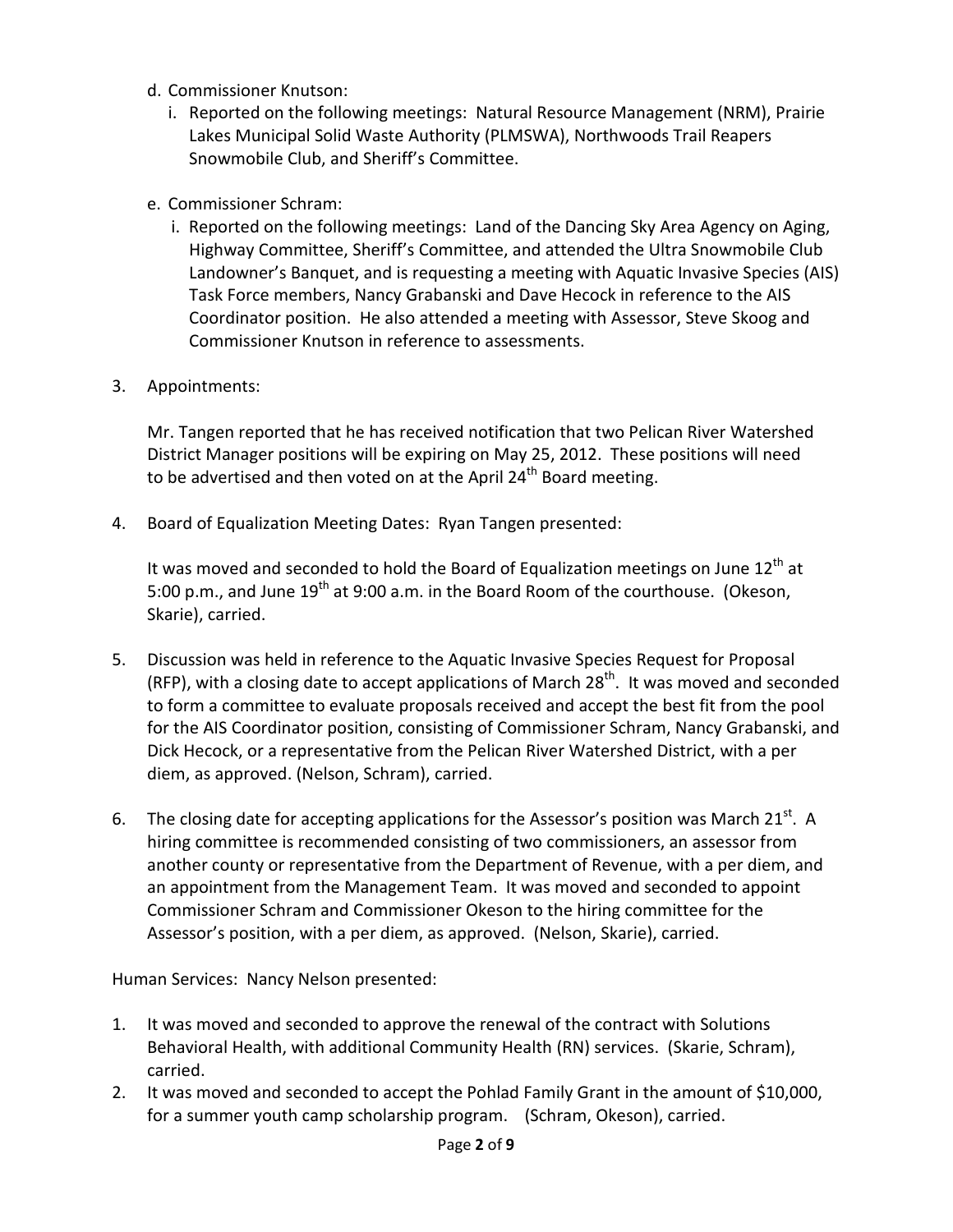- d. Commissioner Knutson:
	- i. Reported on the following meetings: Natural Resource Management (NRM), Prairie Lakes Municipal Solid Waste Authority (PLMSWA), Northwoods Trail Reapers Snowmobile Club, and Sheriff's Committee.
- e. Commissioner Schram:
	- i. Reported on the following meetings: Land of the Dancing Sky Area Agency on Aging, Highway Committee, Sheriff's Committee, and attended the Ultra Snowmobile Club Landowner's Banquet, and is requesting a meeting with Aquatic Invasive Species (AIS) Task Force members, Nancy Grabanski and Dave Hecock in reference to the AIS Coordinator position. He also attended a meeting with Assessor, Steve Skoog and Commissioner Knutson in reference to assessments.
- 3. Appointments:

Mr. Tangen reported that he has received notification that two Pelican River Watershed District Manager positions will be expiring on May 25, 2012. These positions will need to be advertised and then voted on at the April  $24<sup>th</sup>$  Board meeting.

4. Board of Equalization Meeting Dates: Ryan Tangen presented:

It was moved and seconded to hold the Board of Equalization meetings on June  $12<sup>th</sup>$  at 5:00 p.m., and June 19<sup>th</sup> at 9:00 a.m. in the Board Room of the courthouse. (Okeson, Skarie), carried.

- 5. Discussion was held in reference to the Aquatic Invasive Species Request for Proposal (RFP), with a closing date to accept applications of March  $28<sup>th</sup>$ . It was moved and seconded to form a committee to evaluate proposals received and accept the best fit from the pool for the AIS Coordinator position, consisting of Commissioner Schram, Nancy Grabanski, and Dick Hecock, or a representative from the Pelican River Watershed District, with a per diem, as approved. (Nelson, Schram), carried.
- 6. The closing date for accepting applications for the Assessor's position was March 21 $^{st}$ . A hiring committee is recommended consisting of two commissioners, an assessor from another county or representative from the Department of Revenue, with a per diem, and an appointment from the Management Team. It was moved and seconded to appoint Commissioner Schram and Commissioner Okeson to the hiring committee for the Assessor's position, with a per diem, as approved. (Nelson, Skarie), carried.

Human Services: Nancy Nelson presented:

- 1. It was moved and seconded to approve the renewal of the contract with Solutions Behavioral Health, with additional Community Health (RN) services. (Skarie, Schram), carried.
- 2. It was moved and seconded to accept the Pohlad Family Grant in the amount of \$10,000, for a summer youth camp scholarship program. (Schram, Okeson), carried.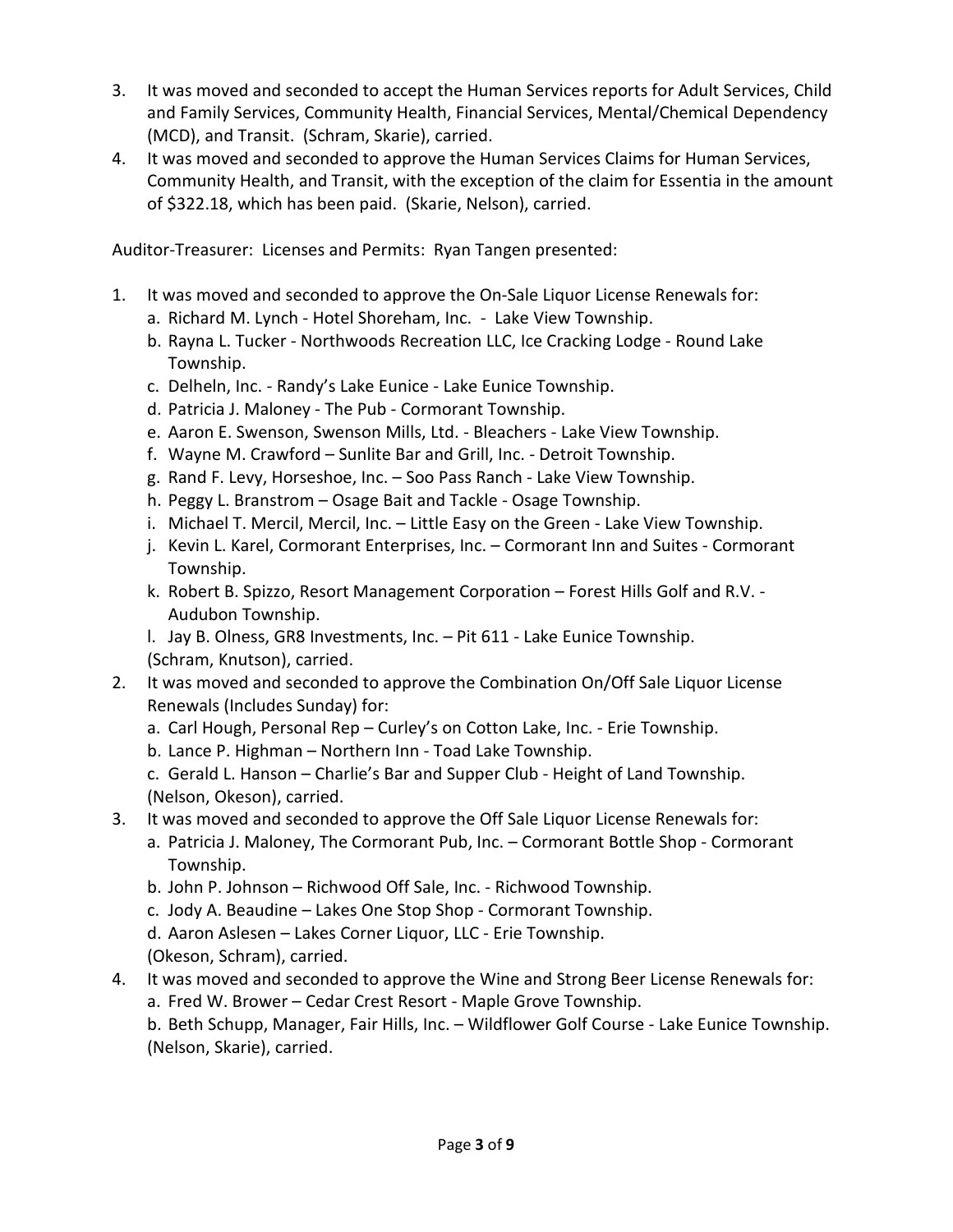- 3. It was moved and seconded to accept the Human Services reports for Adult Services, Child and Family Services, Community Health, Financial Services, Mental/Chemical Dependency (MCD), and Transit. (Schram, Skarie), carried.
- 4. It was moved and seconded to approve the Human Services Claims for Human Services, Community Health, and Transit, with the exception of the claim for Essentia in the amount of \$322.18, which has been paid. (Skarie, Nelson), carried.

Auditor-Treasurer: Licenses and Permits: Ryan Tangen presented:

- 1. It was moved and seconded to approve the On-Sale Liquor License Renewals for:
	- a. Richard M. Lynch Hotel Shoreham, Inc. Lake View Township.
	- b. Rayna L. Tucker Northwoods Recreation LLC, Ice Cracking Lodge Round Lake Township.
	- c. Delheln, Inc. Randy's Lake Eunice Lake Eunice Township.
	- d. Patricia J. Maloney The Pub Cormorant Township.
	- e. Aaron E. Swenson, Swenson Mills, Ltd. Bleachers Lake View Township.
	- f. Wayne M. Crawford Sunlite Bar and Grill, Inc. Detroit Township.
	- g. Rand F. Levy, Horseshoe, Inc. Soo Pass Ranch Lake View Township.
	- h. Peggy L. Branstrom Osage Bait and Tackle Osage Township.
	- i. Michael T. Mercil, Mercil, Inc. Little Easy on the Green Lake View Township.
	- j. Kevin L. Karel, Cormorant Enterprises, Inc. Cormorant Inn and Suites Cormorant Township.
	- k. Robert B. Spizzo, Resort Management Corporation Forest Hills Golf and R.V. Audubon Township.
	- l. Jay B. Olness, GR8 Investments, Inc. Pit 611 Lake Eunice Township. (Schram, Knutson), carried.
- 2. It was moved and seconded to approve the Combination On/Off Sale Liquor License Renewals (Includes Sunday) for:
	- a. Carl Hough, Personal Rep Curley's on Cotton Lake, Inc. Erie Township.
	- b. Lance P. Highman Northern Inn Toad Lake Township.
	- c. Gerald L. Hanson Charlie's Bar and Supper Club Height of Land Township. (Nelson, Okeson), carried.
- 3. It was moved and seconded to approve the Off Sale Liquor License Renewals for:
	- a. Patricia J. Maloney, The Cormorant Pub, Inc. Cormorant Bottle Shop Cormorant Township.
	- b. John P. Johnson Richwood Off Sale, Inc. Richwood Township.
	- c. Jody A. Beaudine Lakes One Stop Shop Cormorant Township.
	- d. Aaron Aslesen Lakes Corner Liquor, LLC Erie Township.
	- (Okeson, Schram), carried.
- 4. It was moved and seconded to approve the Wine and Strong Beer License Renewals for:
	- a. Fred W. Brower Cedar Crest Resort Maple Grove Township.

b. Beth Schupp, Manager, Fair Hills, Inc. – Wildflower Golf Course - Lake Eunice Township. (Nelson, Skarie), carried.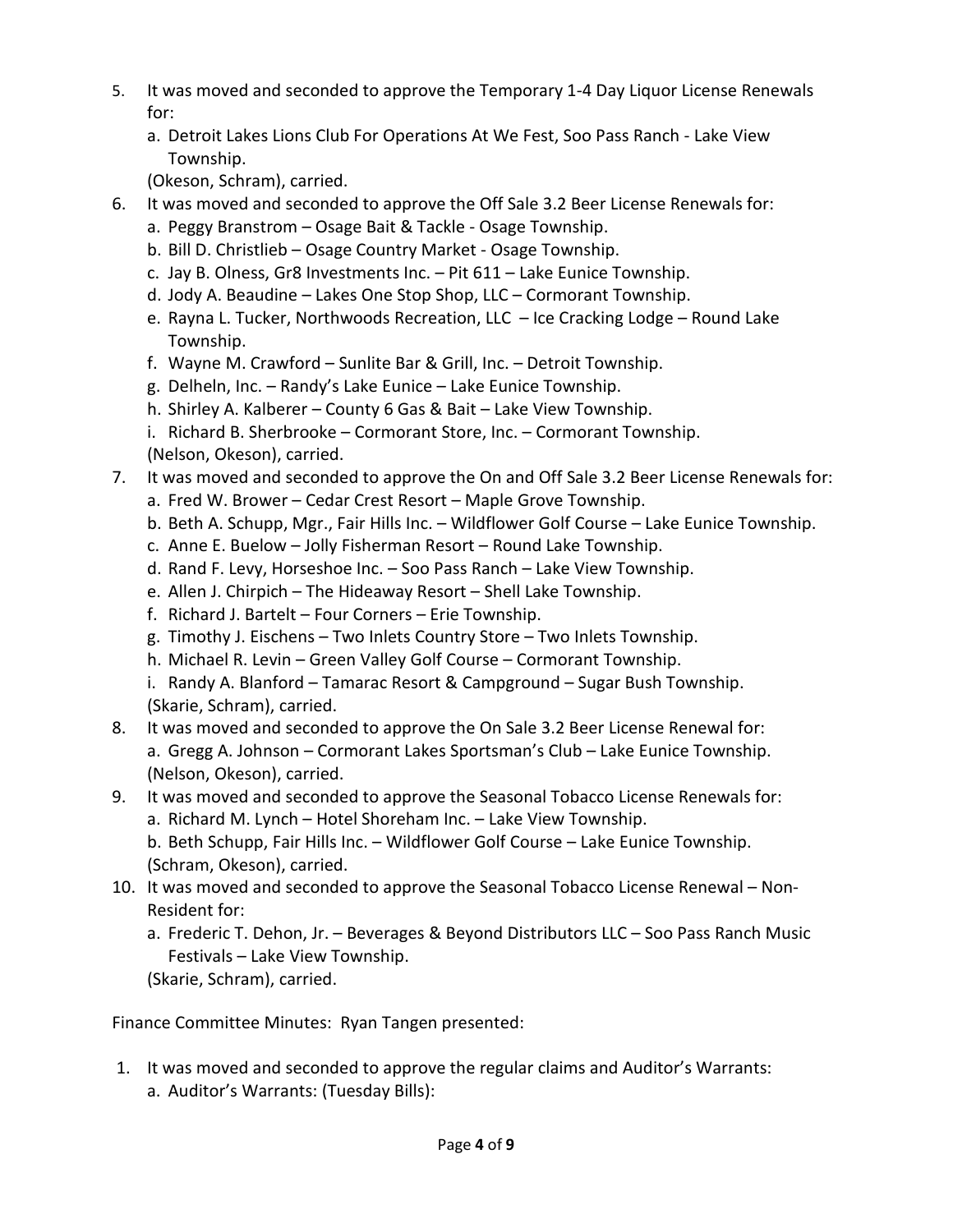- 5. It was moved and seconded to approve the Temporary 1-4 Day Liquor License Renewals for:
	- a. Detroit Lakes Lions Club For Operations At We Fest, Soo Pass Ranch Lake View Township.

(Okeson, Schram), carried.

- 6. It was moved and seconded to approve the Off Sale 3.2 Beer License Renewals for:
	- a. Peggy Branstrom Osage Bait & Tackle Osage Township.
	- b. Bill D. Christlieb Osage Country Market Osage Township.
	- c. Jay B. Olness, Gr8 Investments Inc. Pit 611 Lake Eunice Township.
	- d. Jody A. Beaudine Lakes One Stop Shop, LLC Cormorant Township.
	- e. Rayna L. Tucker, Northwoods Recreation, LLC Ice Cracking Lodge Round Lake Township.
	- f. Wayne M. Crawford Sunlite Bar & Grill, Inc. Detroit Township.
	- g. Delheln, Inc. Randy's Lake Eunice Lake Eunice Township.
	- h. Shirley A. Kalberer County 6 Gas & Bait Lake View Township.
	- i. Richard B. Sherbrooke Cormorant Store, Inc. Cormorant Township. (Nelson, Okeson), carried.
- 7. It was moved and seconded to approve the On and Off Sale 3.2 Beer License Renewals for:
	- a. Fred W. Brower Cedar Crest Resort Maple Grove Township.
	- b. Beth A. Schupp, Mgr., Fair Hills Inc. Wildflower Golf Course Lake Eunice Township.
	- c. Anne E. Buelow Jolly Fisherman Resort Round Lake Township.
	- d. Rand F. Levy, Horseshoe Inc. Soo Pass Ranch Lake View Township.
	- e. Allen J. Chirpich The Hideaway Resort Shell Lake Township.
	- f. Richard J. Bartelt Four Corners Erie Township.
	- g. Timothy J. Eischens Two Inlets Country Store Two Inlets Township.
	- h. Michael R. Levin Green Valley Golf Course Cormorant Township.
	- i. Randy A. Blanford Tamarac Resort & Campground Sugar Bush Township. (Skarie, Schram), carried.
- 8. It was moved and seconded to approve the On Sale 3.2 Beer License Renewal for: a. Gregg A. Johnson – Cormorant Lakes Sportsman's Club – Lake Eunice Township. (Nelson, Okeson), carried.
- 9. It was moved and seconded to approve the Seasonal Tobacco License Renewals for: a. Richard M. Lynch – Hotel Shoreham Inc. – Lake View Township. b. Beth Schupp, Fair Hills Inc. – Wildflower Golf Course – Lake Eunice Township.
	- (Schram, Okeson), carried.
- 10. It was moved and seconded to approve the Seasonal Tobacco License Renewal Non-Resident for:
	- a. Frederic T. Dehon, Jr. Beverages & Beyond Distributors LLC Soo Pass Ranch Music Festivals – Lake View Township.
	- (Skarie, Schram), carried.

Finance Committee Minutes: Ryan Tangen presented:

1. It was moved and seconded to approve the regular claims and Auditor's Warrants: a. Auditor's Warrants: (Tuesday Bills):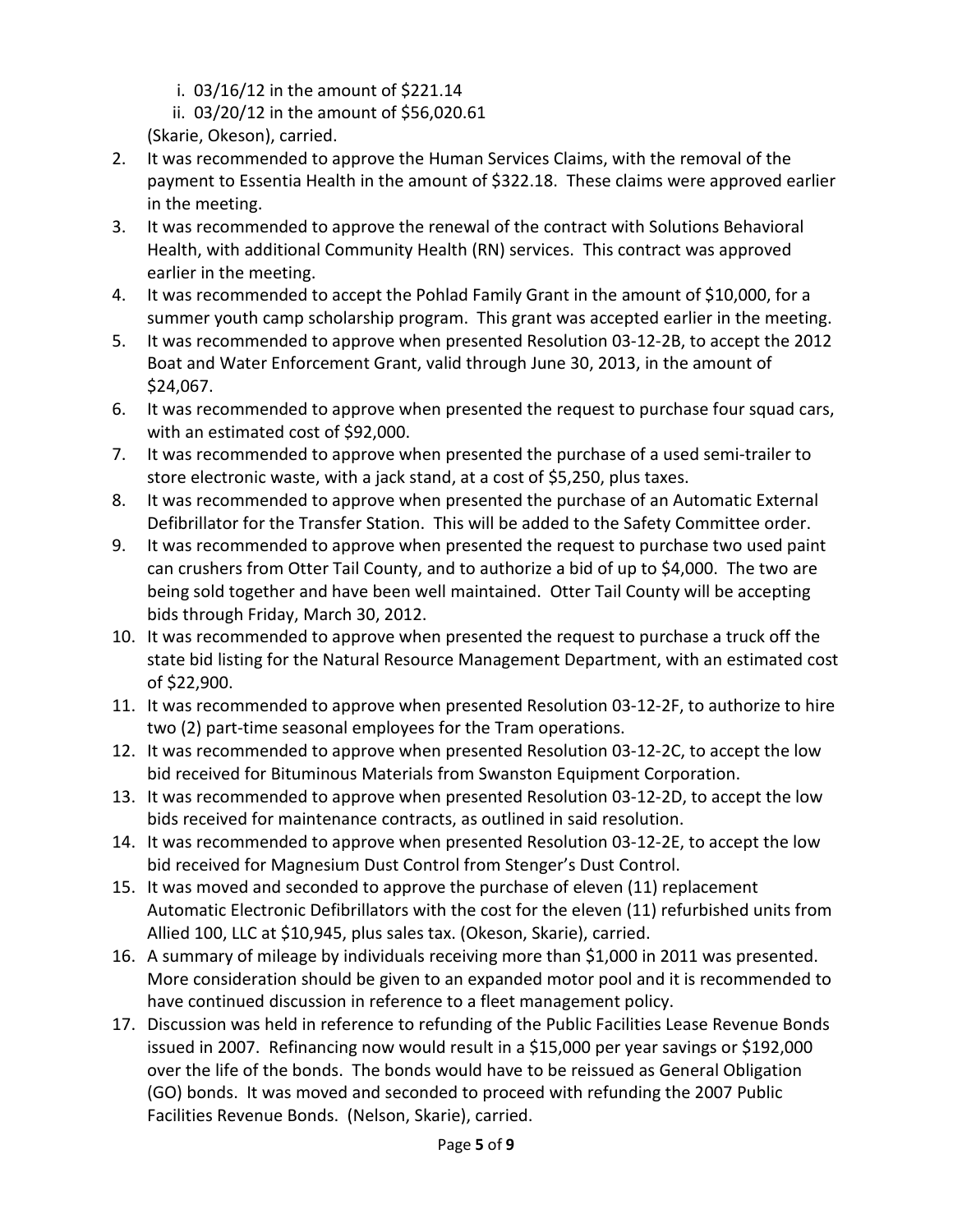- i. 03/16/12 in the amount of \$221.14
- ii. 03/20/12 in the amount of \$56,020.61
- (Skarie, Okeson), carried.
- 2. It was recommended to approve the Human Services Claims, with the removal of the payment to Essentia Health in the amount of \$322.18. These claims were approved earlier in the meeting.
- 3. It was recommended to approve the renewal of the contract with Solutions Behavioral Health, with additional Community Health (RN) services. This contract was approved earlier in the meeting.
- 4. It was recommended to accept the Pohlad Family Grant in the amount of \$10,000, for a summer youth camp scholarship program. This grant was accepted earlier in the meeting.
- 5. It was recommended to approve when presented Resolution 03-12-2B, to accept the 2012 Boat and Water Enforcement Grant, valid through June 30, 2013, in the amount of \$24,067.
- 6. It was recommended to approve when presented the request to purchase four squad cars, with an estimated cost of \$92,000.
- 7. It was recommended to approve when presented the purchase of a used semi-trailer to store electronic waste, with a jack stand, at a cost of \$5,250, plus taxes.
- 8. It was recommended to approve when presented the purchase of an Automatic External Defibrillator for the Transfer Station. This will be added to the Safety Committee order.
- 9. It was recommended to approve when presented the request to purchase two used paint can crushers from Otter Tail County, and to authorize a bid of up to \$4,000. The two are being sold together and have been well maintained. Otter Tail County will be accepting bids through Friday, March 30, 2012.
- 10. It was recommended to approve when presented the request to purchase a truck off the state bid listing for the Natural Resource Management Department, with an estimated cost of \$22,900.
- 11. It was recommended to approve when presented Resolution 03-12-2F, to authorize to hire two (2) part-time seasonal employees for the Tram operations.
- 12. It was recommended to approve when presented Resolution 03-12-2C, to accept the low bid received for Bituminous Materials from Swanston Equipment Corporation.
- 13. It was recommended to approve when presented Resolution 03-12-2D, to accept the low bids received for maintenance contracts, as outlined in said resolution.
- 14. It was recommended to approve when presented Resolution 03-12-2E, to accept the low bid received for Magnesium Dust Control from Stenger's Dust Control.
- 15. It was moved and seconded to approve the purchase of eleven (11) replacement Automatic Electronic Defibrillators with the cost for the eleven (11) refurbished units from Allied 100, LLC at \$10,945, plus sales tax. (Okeson, Skarie), carried.
- 16. A summary of mileage by individuals receiving more than \$1,000 in 2011 was presented. More consideration should be given to an expanded motor pool and it is recommended to have continued discussion in reference to a fleet management policy.
- 17. Discussion was held in reference to refunding of the Public Facilities Lease Revenue Bonds issued in 2007. Refinancing now would result in a \$15,000 per year savings or \$192,000 over the life of the bonds. The bonds would have to be reissued as General Obligation (GO) bonds. It was moved and seconded to proceed with refunding the 2007 Public Facilities Revenue Bonds. (Nelson, Skarie), carried.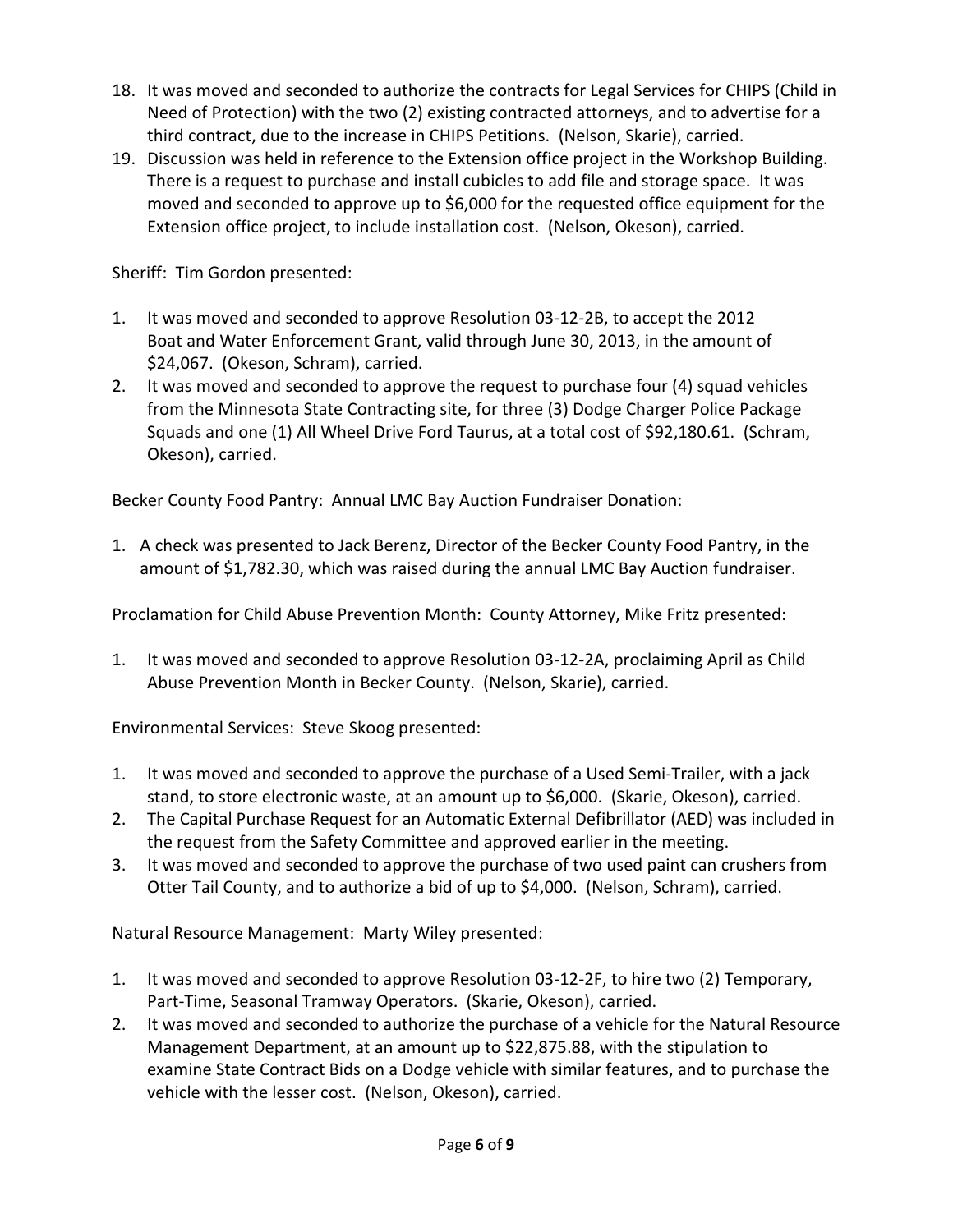- 18. It was moved and seconded to authorize the contracts for Legal Services for CHIPS (Child in Need of Protection) with the two (2) existing contracted attorneys, and to advertise for a third contract, due to the increase in CHIPS Petitions. (Nelson, Skarie), carried.
- 19. Discussion was held in reference to the Extension office project in the Workshop Building. There is a request to purchase and install cubicles to add file and storage space. It was moved and seconded to approve up to \$6,000 for the requested office equipment for the Extension office project, to include installation cost. (Nelson, Okeson), carried.

Sheriff: Tim Gordon presented:

- 1. It was moved and seconded to approve Resolution 03-12-2B, to accept the 2012 Boat and Water Enforcement Grant, valid through June 30, 2013, in the amount of \$24,067. (Okeson, Schram), carried.
- 2. It was moved and seconded to approve the request to purchase four (4) squad vehicles from the Minnesota State Contracting site, for three (3) Dodge Charger Police Package Squads and one (1) All Wheel Drive Ford Taurus, at a total cost of \$92,180.61. (Schram, Okeson), carried.

Becker County Food Pantry: Annual LMC Bay Auction Fundraiser Donation:

1. A check was presented to Jack Berenz, Director of the Becker County Food Pantry, in the amount of \$1,782.30, which was raised during the annual LMC Bay Auction fundraiser.

Proclamation for Child Abuse Prevention Month: County Attorney, Mike Fritz presented:

1. It was moved and seconded to approve Resolution 03-12-2A, proclaiming April as Child Abuse Prevention Month in Becker County. (Nelson, Skarie), carried.

Environmental Services: Steve Skoog presented:

- 1. It was moved and seconded to approve the purchase of a Used Semi-Trailer, with a jack stand, to store electronic waste, at an amount up to \$6,000. (Skarie, Okeson), carried.
- 2. The Capital Purchase Request for an Automatic External Defibrillator (AED) was included in the request from the Safety Committee and approved earlier in the meeting.
- 3. It was moved and seconded to approve the purchase of two used paint can crushers from Otter Tail County, and to authorize a bid of up to \$4,000. (Nelson, Schram), carried.

Natural Resource Management: Marty Wiley presented:

- 1. It was moved and seconded to approve Resolution 03-12-2F, to hire two (2) Temporary, Part-Time, Seasonal Tramway Operators. (Skarie, Okeson), carried.
- 2. It was moved and seconded to authorize the purchase of a vehicle for the Natural Resource Management Department, at an amount up to \$22,875.88, with the stipulation to examine State Contract Bids on a Dodge vehicle with similar features, and to purchase the vehicle with the lesser cost. (Nelson, Okeson), carried.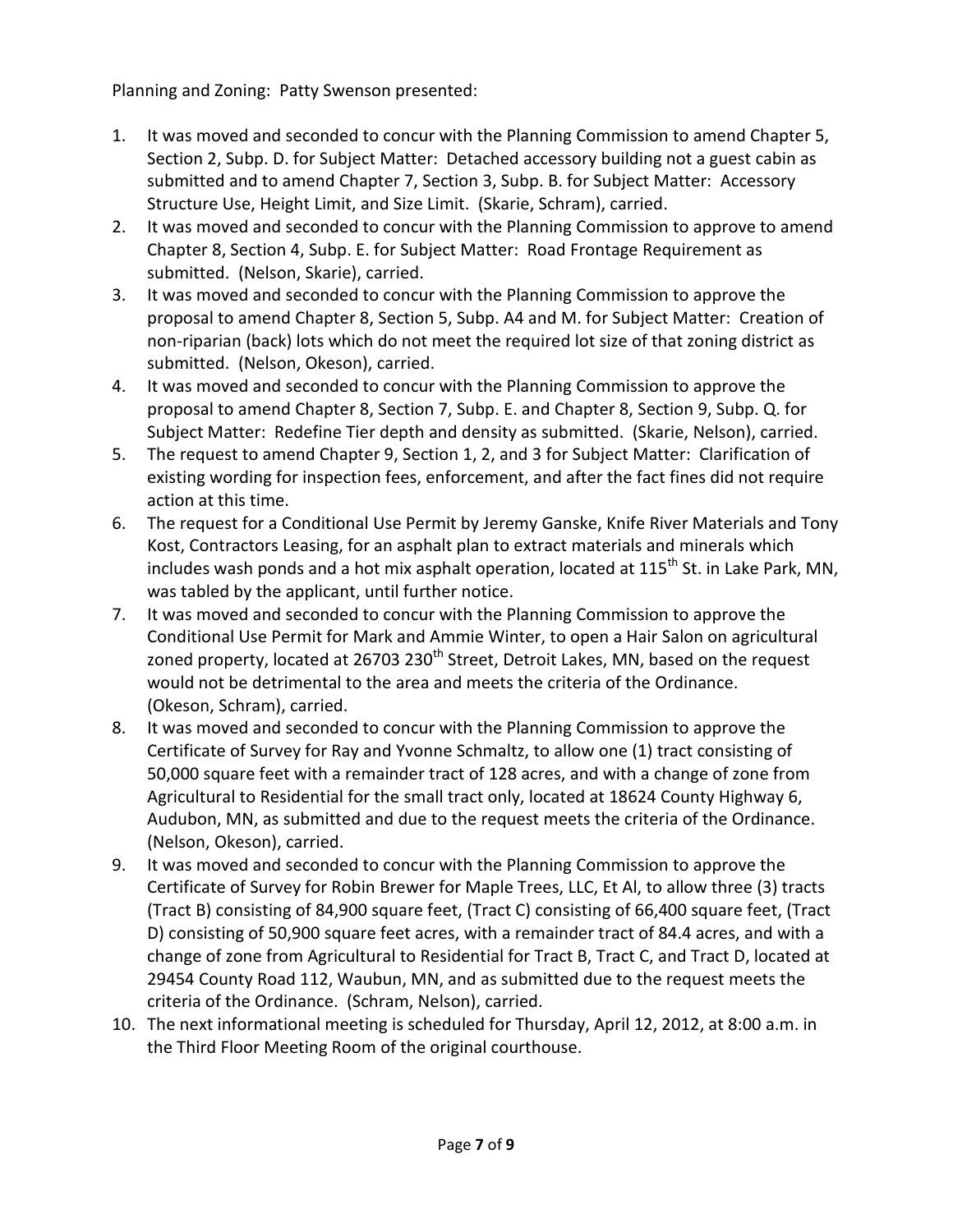Planning and Zoning: Patty Swenson presented:

- 1. It was moved and seconded to concur with the Planning Commission to amend Chapter 5, Section 2, Subp. D. for Subject Matter: Detached accessory building not a guest cabin as submitted and to amend Chapter 7, Section 3, Subp. B. for Subject Matter: Accessory Structure Use, Height Limit, and Size Limit. (Skarie, Schram), carried.
- 2. It was moved and seconded to concur with the Planning Commission to approve to amend Chapter 8, Section 4, Subp. E. for Subject Matter: Road Frontage Requirement as submitted. (Nelson, Skarie), carried.
- 3. It was moved and seconded to concur with the Planning Commission to approve the proposal to amend Chapter 8, Section 5, Subp. A4 and M. for Subject Matter: Creation of non-riparian (back) lots which do not meet the required lot size of that zoning district as submitted. (Nelson, Okeson), carried.
- 4. It was moved and seconded to concur with the Planning Commission to approve the proposal to amend Chapter 8, Section 7, Subp. E. and Chapter 8, Section 9, Subp. Q. for Subject Matter: Redefine Tier depth and density as submitted. (Skarie, Nelson), carried.
- 5. The request to amend Chapter 9, Section 1, 2, and 3 for Subject Matter: Clarification of existing wording for inspection fees, enforcement, and after the fact fines did not require action at this time.
- 6. The request for a Conditional Use Permit by Jeremy Ganske, Knife River Materials and Tony Kost, Contractors Leasing, for an asphalt plan to extract materials and minerals which includes wash ponds and a hot mix asphalt operation, located at 115<sup>th</sup> St. in Lake Park, MN, was tabled by the applicant, until further notice.
- 7. It was moved and seconded to concur with the Planning Commission to approve the Conditional Use Permit for Mark and Ammie Winter, to open a Hair Salon on agricultural zoned property, located at 26703 230<sup>th</sup> Street, Detroit Lakes, MN, based on the request would not be detrimental to the area and meets the criteria of the Ordinance. (Okeson, Schram), carried.
- 8. It was moved and seconded to concur with the Planning Commission to approve the Certificate of Survey for Ray and Yvonne Schmaltz, to allow one (1) tract consisting of 50,000 square feet with a remainder tract of 128 acres, and with a change of zone from Agricultural to Residential for the small tract only, located at 18624 County Highway 6, Audubon, MN, as submitted and due to the request meets the criteria of the Ordinance. (Nelson, Okeson), carried.
- 9. It was moved and seconded to concur with the Planning Commission to approve the Certificate of Survey for Robin Brewer for Maple Trees, LLC, Et Al, to allow three (3) tracts (Tract B) consisting of 84,900 square feet, (Tract C) consisting of 66,400 square feet, (Tract D) consisting of 50,900 square feet acres, with a remainder tract of 84.4 acres, and with a change of zone from Agricultural to Residential for Tract B, Tract C, and Tract D, located at 29454 County Road 112, Waubun, MN, and as submitted due to the request meets the criteria of the Ordinance. (Schram, Nelson), carried.
- 10. The next informational meeting is scheduled for Thursday, April 12, 2012, at 8:00 a.m. in the Third Floor Meeting Room of the original courthouse.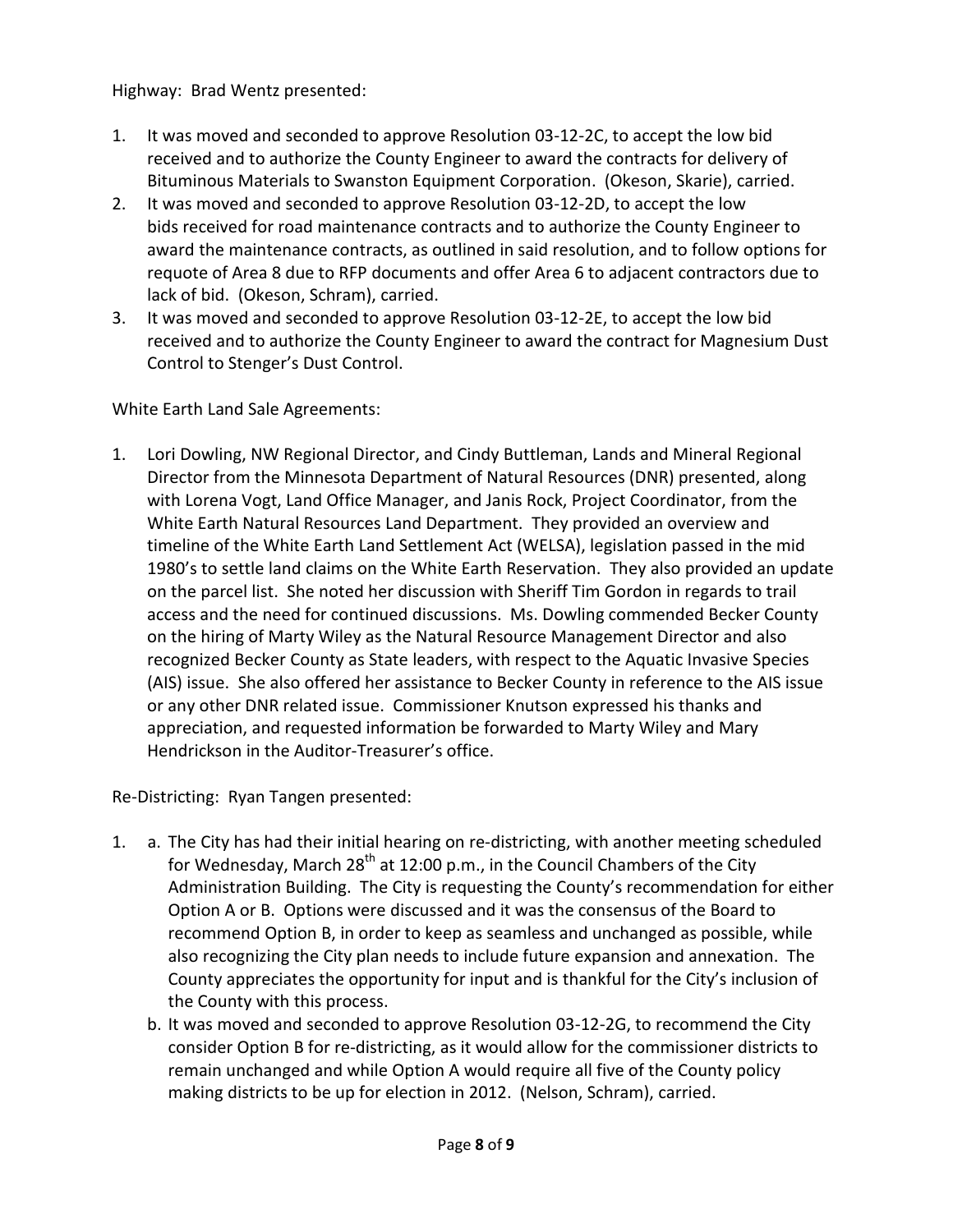Highway: Brad Wentz presented:

- 1. It was moved and seconded to approve Resolution 03-12-2C, to accept the low bid received and to authorize the County Engineer to award the contracts for delivery of Bituminous Materials to Swanston Equipment Corporation. (Okeson, Skarie), carried.
- 2. It was moved and seconded to approve Resolution 03-12-2D, to accept the low bids received for road maintenance contracts and to authorize the County Engineer to award the maintenance contracts, as outlined in said resolution, and to follow options for requote of Area 8 due to RFP documents and offer Area 6 to adjacent contractors due to lack of bid. (Okeson, Schram), carried.
- 3. It was moved and seconded to approve Resolution 03-12-2E, to accept the low bid received and to authorize the County Engineer to award the contract for Magnesium Dust Control to Stenger's Dust Control.

White Earth Land Sale Agreements:

1. Lori Dowling, NW Regional Director, and Cindy Buttleman, Lands and Mineral Regional Director from the Minnesota Department of Natural Resources (DNR) presented, along with Lorena Vogt, Land Office Manager, and Janis Rock, Project Coordinator, from the White Earth Natural Resources Land Department.They provided an overview and timeline of the White Earth Land Settlement Act (WELSA), legislation passed in the mid 1980's to settle land claims on the White Earth Reservation. They also provided an update on the parcel list. She noted her discussion with Sheriff Tim Gordon in regards to trail access and the need for continued discussions. Ms. Dowling commended Becker County on the hiring of Marty Wiley as the Natural Resource Management Director and also recognized Becker County as State leaders, with respect to the Aquatic Invasive Species (AIS) issue. She also offered her assistance to Becker County in reference to the AIS issue or any other DNR related issue. Commissioner Knutson expressed his thanks and appreciation, and requested information be forwarded to Marty Wiley and Mary Hendrickson in the Auditor-Treasurer's office.

Re-Districting: Ryan Tangen presented:

- 1. a. The City has had their initial hearing on re-districting, with another meeting scheduled for Wednesday, March 28<sup>th</sup> at 12:00 p.m., in the Council Chambers of the City Administration Building. The City is requesting the County's recommendation for either Option A or B. Options were discussed and it was the consensus of the Board to recommend Option B, in order to keep as seamless and unchanged as possible, while also recognizing the City plan needs to include future expansion and annexation. The County appreciates the opportunity for input and is thankful for the City's inclusion of the County with this process.
	- b. It was moved and seconded to approve Resolution 03-12-2G, to recommend the City consider Option B for re-districting, as it would allow for the commissioner districts to remain unchanged and while Option A would require all five of the County policy making districts to be up for election in 2012. (Nelson, Schram), carried.